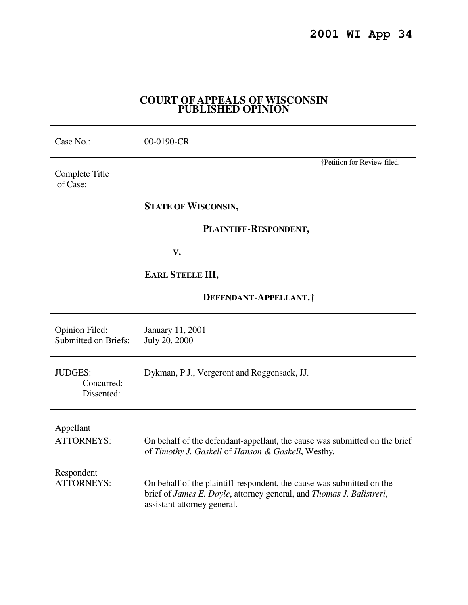# **COURT OF APPEALS OF WISCONSIN PUBLISHED OPINION**

| Case No.:                                            | 00-0190-CR                                                                                                                                                                   |
|------------------------------------------------------|------------------------------------------------------------------------------------------------------------------------------------------------------------------------------|
| Complete Title<br>of Case:                           | †Petition for Review filed.                                                                                                                                                  |
|                                                      | <b>STATE OF WISCONSIN,</b>                                                                                                                                                   |
|                                                      | PLAINTIFF-RESPONDENT,                                                                                                                                                        |
|                                                      | $V_{\bullet}$                                                                                                                                                                |
|                                                      | <b>EARL STEELE III,</b>                                                                                                                                                      |
|                                                      | DEFENDANT-APPELLANT.†                                                                                                                                                        |
| <b>Opinion Filed:</b><br><b>Submitted on Briefs:</b> | January 11, 2001<br>July 20, 2000                                                                                                                                            |
| <b>JUDGES:</b><br>Concurred:<br>Dissented:           | Dykman, P.J., Vergeront and Roggensack, JJ.                                                                                                                                  |
| Appellant<br><b>ATTORNEYS:</b>                       | On behalf of the defendant-appellant, the cause was submitted on the brief<br>of Timothy J. Gaskell of Hanson & Gaskell, Westby.                                             |
| Respondent<br><b>ATTORNEYS:</b>                      | On behalf of the plaintiff-respondent, the cause was submitted on the<br>brief of James E. Doyle, attorney general, and Thomas J. Balistreri,<br>assistant attorney general. |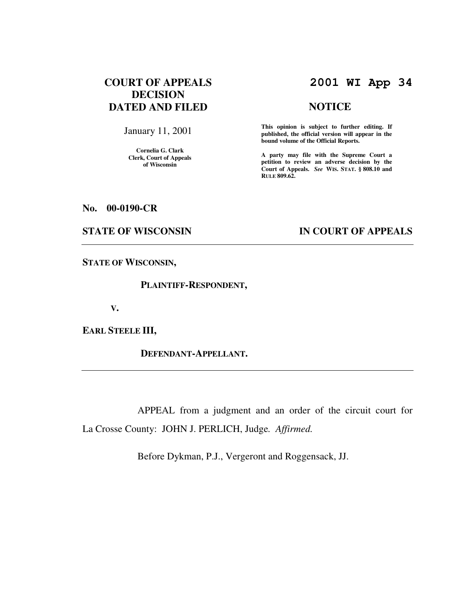# **COURT OF APPEALS DECISION DATED AND FILED**

January 11, 2001

**Cornelia G. Clark Clerk, Court of Appeals of Wisconsin** 

# **2001 WI App 34**

# **NOTICE**

**This opinion is subject to further editing. If published, the official version will appear in the bound volume of the Official Reports.**

**A party may file with the Supreme Court a petition to review an adverse decision by the Court of Appeals.** *See* **WIS. STAT. § 808.10 and RULE 809.62.** 

### **No. 00-0190-CR**

## **STATE OF WISCONSIN IN COURT OF APPEALS**

**STATE OF WISCONSIN,** 

 **PLAINTIFF-RESPONDENT,** 

 **V.** 

**EARL STEELE III,** 

 **DEFENDANT-APPELLANT.** 

 APPEAL from a judgment and an order of the circuit court for La Crosse County: JOHN J. PERLICH, Judge*. Affirmed.*

Before Dykman, P.J., Vergeront and Roggensack, JJ.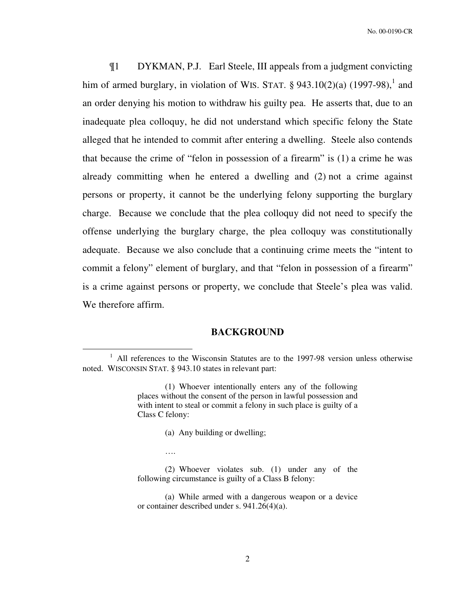¶1 DYKMAN, P.J. Earl Steele, III appeals from a judgment convicting him of armed burglary, in violation of WIS. STAT.  $\S$  943.10(2)(a) (1997-98),<sup>1</sup> and an order denying his motion to withdraw his guilty pea. He asserts that, due to an inadequate plea colloquy, he did not understand which specific felony the State alleged that he intended to commit after entering a dwelling. Steele also contends that because the crime of "felon in possession of a firearm" is (1) a crime he was already committing when he entered a dwelling and (2) not a crime against persons or property, it cannot be the underlying felony supporting the burglary charge. Because we conclude that the plea colloquy did not need to specify the offense underlying the burglary charge, the plea colloquy was constitutionally adequate. Because we also conclude that a continuing crime meets the "intent to commit a felony" element of burglary, and that "felon in possession of a firearm" is a crime against persons or property, we conclude that Steele's plea was valid. We therefore affirm.

## **BACKGROUND**

(a) Any building or dwelling;

….

 $\overline{a}$ 

<sup>&</sup>lt;sup>1</sup> All references to the Wisconsin Statutes are to the 1997-98 version unless otherwise noted. WISCONSIN STAT. § 943.10 states in relevant part:

<sup>(1)</sup> Whoever intentionally enters any of the following places without the consent of the person in lawful possession and with intent to steal or commit a felony in such place is guilty of a Class C felony:

<sup>(2)</sup> Whoever violates sub. (1) under any of the following circumstance is guilty of a Class B felony:

<sup>(</sup>a) While armed with a dangerous weapon or a device or container described under s. 941.26(4)(a).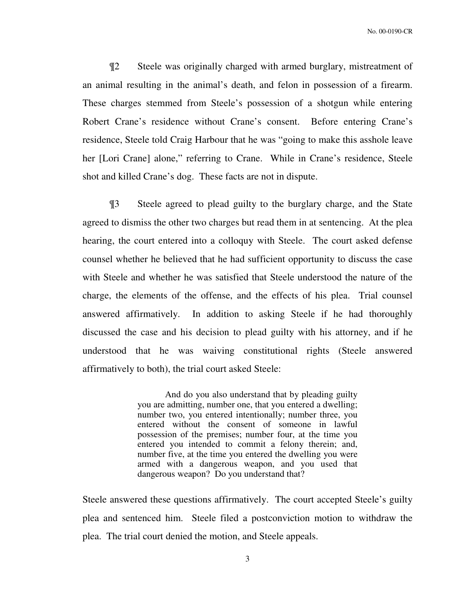¶2 Steele was originally charged with armed burglary, mistreatment of an animal resulting in the animal's death, and felon in possession of a firearm. These charges stemmed from Steele's possession of a shotgun while entering Robert Crane's residence without Crane's consent. Before entering Crane's residence, Steele told Craig Harbour that he was "going to make this asshole leave her [Lori Crane] alone," referring to Crane. While in Crane's residence, Steele shot and killed Crane's dog. These facts are not in dispute.

 ¶3 Steele agreed to plead guilty to the burglary charge, and the State agreed to dismiss the other two charges but read them in at sentencing. At the plea hearing, the court entered into a colloquy with Steele. The court asked defense counsel whether he believed that he had sufficient opportunity to discuss the case with Steele and whether he was satisfied that Steele understood the nature of the charge, the elements of the offense, and the effects of his plea. Trial counsel answered affirmatively. In addition to asking Steele if he had thoroughly discussed the case and his decision to plead guilty with his attorney, and if he understood that he was waiving constitutional rights (Steele answered affirmatively to both), the trial court asked Steele:

> And do you also understand that by pleading guilty you are admitting, number one, that you entered a dwelling; number two, you entered intentionally; number three, you entered without the consent of someone in lawful possession of the premises; number four, at the time you entered you intended to commit a felony therein; and, number five, at the time you entered the dwelling you were armed with a dangerous weapon, and you used that dangerous weapon? Do you understand that?

Steele answered these questions affirmatively. The court accepted Steele's guilty plea and sentenced him. Steele filed a postconviction motion to withdraw the plea. The trial court denied the motion, and Steele appeals.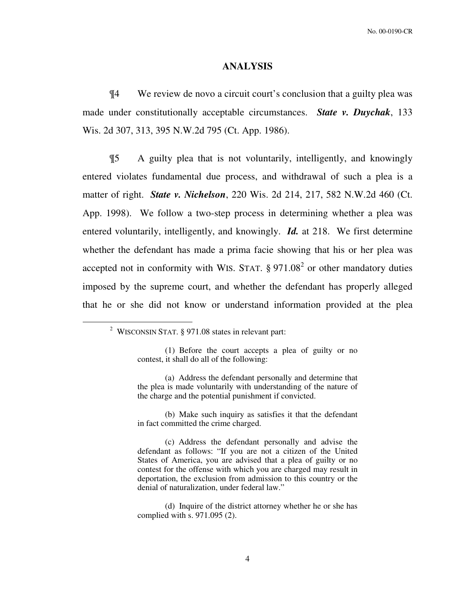#### **ANALYSIS**

 ¶4 We review de novo a circuit court's conclusion that a guilty plea was made under constitutionally acceptable circumstances. *State v. Duychak*, 133 Wis. 2d 307, 313, 395 N.W.2d 795 (Ct. App. 1986).

 ¶5 A guilty plea that is not voluntarily, intelligently, and knowingly entered violates fundamental due process, and withdrawal of such a plea is a matter of right. *State v. Nichelson*, 220 Wis. 2d 214, 217, 582 N.W.2d 460 (Ct. App. 1998). We follow a two-step process in determining whether a plea was entered voluntarily, intelligently, and knowingly. *Id.* at 218. We first determine whether the defendant has made a prima facie showing that his or her plea was accepted not in conformity with WIS. STAT.  $\S 971.08^2$  or other mandatory duties imposed by the supreme court, and whether the defendant has properly alleged that he or she did not know or understand information provided at the plea

 $\overline{a}$ 

<sup>&</sup>lt;sup>2</sup> WISCONSIN STAT. § 971.08 states in relevant part:

<sup>(1)</sup> Before the court accepts a plea of guilty or no contest, it shall do all of the following:

<sup>(</sup>a) Address the defendant personally and determine that the plea is made voluntarily with understanding of the nature of the charge and the potential punishment if convicted.

<sup>(</sup>b) Make such inquiry as satisfies it that the defendant in fact committed the crime charged.

<sup>(</sup>c) Address the defendant personally and advise the defendant as follows: "If you are not a citizen of the United States of America, you are advised that a plea of guilty or no contest for the offense with which you are charged may result in deportation, the exclusion from admission to this country or the denial of naturalization, under federal law."

<sup>(</sup>d) Inquire of the district attorney whether he or she has complied with s. 971.095 (2).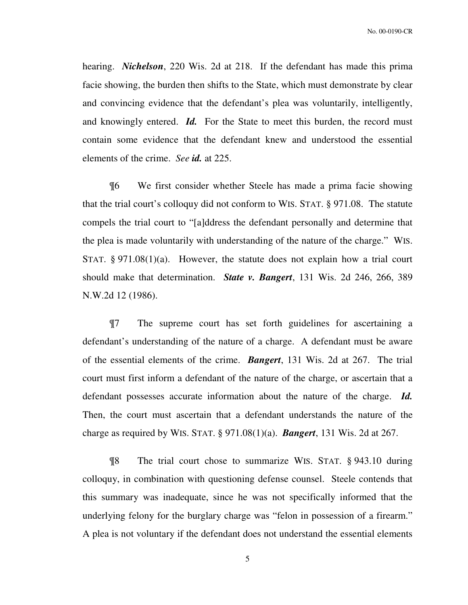hearing. *Nichelson*, 220 Wis. 2d at 218. If the defendant has made this prima facie showing, the burden then shifts to the State, which must demonstrate by clear and convincing evidence that the defendant's plea was voluntarily, intelligently, and knowingly entered. *Id.* For the State to meet this burden, the record must contain some evidence that the defendant knew and understood the essential elements of the crime. *See id.* at 225.

 ¶6 We first consider whether Steele has made a prima facie showing that the trial court's colloquy did not conform to WIS. STAT. § 971.08. The statute compels the trial court to "[a]ddress the defendant personally and determine that the plea is made voluntarily with understanding of the nature of the charge." WIS. STAT.  $\S 971.08(1)(a)$ . However, the statute does not explain how a trial court should make that determination. *State v. Bangert*, 131 Wis. 2d 246, 266, 389 N.W.2d 12 (1986).

 ¶7 The supreme court has set forth guidelines for ascertaining a defendant's understanding of the nature of a charge. A defendant must be aware of the essential elements of the crime. *Bangert*, 131 Wis. 2d at 267. The trial court must first inform a defendant of the nature of the charge, or ascertain that a defendant possesses accurate information about the nature of the charge. *Id.* Then, the court must ascertain that a defendant understands the nature of the charge as required by WIS. STAT. § 971.08(1)(a). *Bangert*, 131 Wis. 2d at 267.

¶8 The trial court chose to summarize WIS. STAT. § 943.10 during colloquy, in combination with questioning defense counsel. Steele contends that this summary was inadequate, since he was not specifically informed that the underlying felony for the burglary charge was "felon in possession of a firearm." A plea is not voluntary if the defendant does not understand the essential elements

5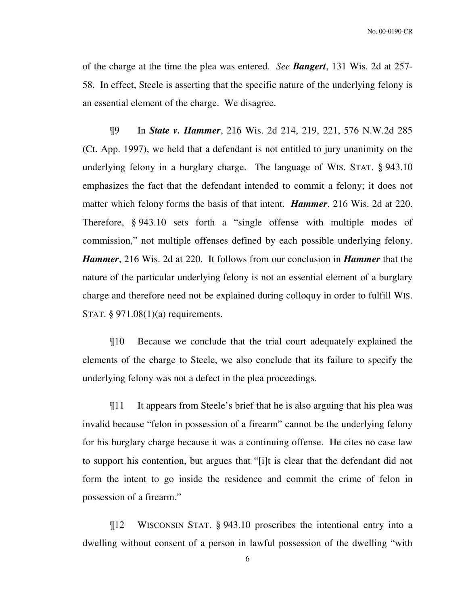of the charge at the time the plea was entered. *See Bangert*, 131 Wis. 2d at 257- 58. In effect, Steele is asserting that the specific nature of the underlying felony is an essential element of the charge. We disagree.

¶9 In *State v. Hammer*, 216 Wis. 2d 214, 219, 221, 576 N.W.2d 285 (Ct. App. 1997), we held that a defendant is not entitled to jury unanimity on the underlying felony in a burglary charge. The language of WIS. STAT. § 943.10 emphasizes the fact that the defendant intended to commit a felony; it does not matter which felony forms the basis of that intent. *Hammer*, 216 Wis. 2d at 220. Therefore, § 943.10 sets forth a "single offense with multiple modes of commission," not multiple offenses defined by each possible underlying felony. *Hammer*, 216 Wis. 2d at 220. It follows from our conclusion in *Hammer* that the nature of the particular underlying felony is not an essential element of a burglary charge and therefore need not be explained during colloquy in order to fulfill WIS. STAT. § 971.08(1)(a) requirements.

¶10 Because we conclude that the trial court adequately explained the elements of the charge to Steele, we also conclude that its failure to specify the underlying felony was not a defect in the plea proceedings.

¶11 It appears from Steele's brief that he is also arguing that his plea was invalid because "felon in possession of a firearm" cannot be the underlying felony for his burglary charge because it was a continuing offense. He cites no case law to support his contention, but argues that "[i]t is clear that the defendant did not form the intent to go inside the residence and commit the crime of felon in possession of a firearm."

¶12 WISCONSIN STAT. § 943.10 proscribes the intentional entry into a dwelling without consent of a person in lawful possession of the dwelling "with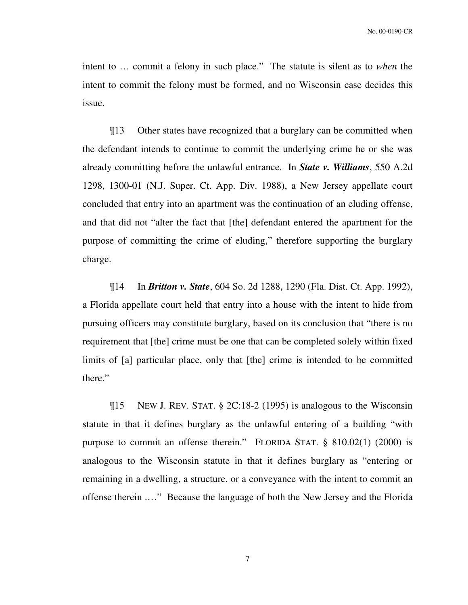intent to … commit a felony in such place." The statute is silent as to *when* the intent to commit the felony must be formed, and no Wisconsin case decides this issue.

¶13 Other states have recognized that a burglary can be committed when the defendant intends to continue to commit the underlying crime he or she was already committing before the unlawful entrance. In *State v. Williams*, 550 A.2d 1298, 1300-01 (N.J. Super. Ct. App. Div. 1988), a New Jersey appellate court concluded that entry into an apartment was the continuation of an eluding offense, and that did not "alter the fact that [the] defendant entered the apartment for the purpose of committing the crime of eluding," therefore supporting the burglary charge.

¶14 In *Britton v. State*, 604 So. 2d 1288, 1290 (Fla. Dist. Ct. App. 1992), a Florida appellate court held that entry into a house with the intent to hide from pursuing officers may constitute burglary, based on its conclusion that "there is no requirement that [the] crime must be one that can be completed solely within fixed limits of [a] particular place, only that [the] crime is intended to be committed there."

¶15 NEW J. REV. STAT. § 2C:18-2 (1995) is analogous to the Wisconsin statute in that it defines burglary as the unlawful entering of a building "with purpose to commit an offense therein." FLORIDA STAT. § 810.02(1) (2000) is analogous to the Wisconsin statute in that it defines burglary as "entering or remaining in a dwelling, a structure, or a conveyance with the intent to commit an offense therein .…" Because the language of both the New Jersey and the Florida

7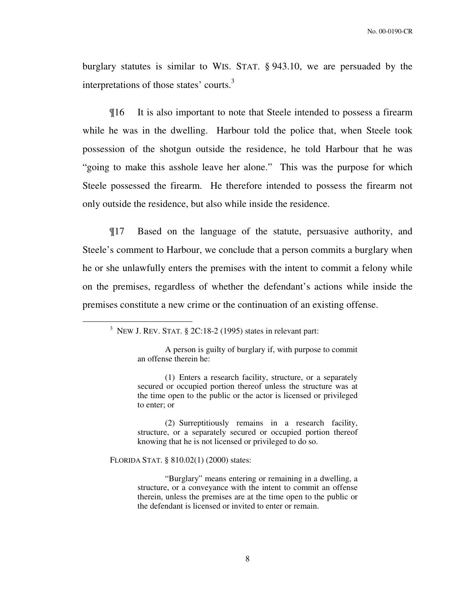burglary statutes is similar to WIS. STAT. § 943.10, we are persuaded by the interpretations of those states' courts.<sup>3</sup>

¶16 It is also important to note that Steele intended to possess a firearm while he was in the dwelling. Harbour told the police that, when Steele took possession of the shotgun outside the residence, he told Harbour that he was "going to make this asshole leave her alone." This was the purpose for which Steele possessed the firearm. He therefore intended to possess the firearm not only outside the residence, but also while inside the residence.

¶17 Based on the language of the statute, persuasive authority, and Steele's comment to Harbour, we conclude that a person commits a burglary when he or she unlawfully enters the premises with the intent to commit a felony while on the premises, regardless of whether the defendant's actions while inside the premises constitute a new crime or the continuation of an existing offense.

A person is guilty of burglary if, with purpose to commit an offense therein he:

(1) Enters a research facility, structure, or a separately secured or occupied portion thereof unless the structure was at the time open to the public or the actor is licensed or privileged to enter; or

(2) Surreptitiously remains in a research facility, structure, or a separately secured or occupied portion thereof knowing that he is not licensed or privileged to do so.

FLORIDA STAT. § 810.02(1) (2000) states:

 $\overline{a}$ 

"Burglary" means entering or remaining in a dwelling, a structure, or a conveyance with the intent to commit an offense therein, unless the premises are at the time open to the public or the defendant is licensed or invited to enter or remain.

8

<sup>&</sup>lt;sup>3</sup> NEW J. REV. STAT.  $\S$  2C:18-2 (1995) states in relevant part: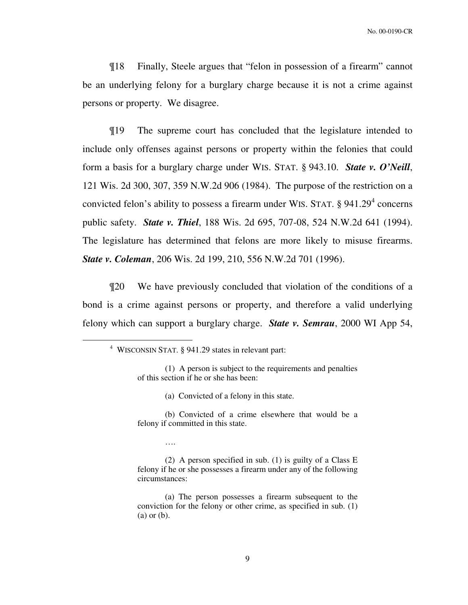¶18 Finally, Steele argues that "felon in possession of a firearm" cannot be an underlying felony for a burglary charge because it is not a crime against persons or property. We disagree.

¶19 The supreme court has concluded that the legislature intended to include only offenses against persons or property within the felonies that could form a basis for a burglary charge under WIS. STAT. § 943.10. *State v. O'Neill*, 121 Wis. 2d 300, 307, 359 N.W.2d 906 (1984). The purpose of the restriction on a convicted felon's ability to possess a firearm under WIS. STAT.  $\S 941.29<sup>4</sup>$  concerns public safety. *State v. Thiel*, 188 Wis. 2d 695, 707-08, 524 N.W.2d 641 (1994). The legislature has determined that felons are more likely to misuse firearms. *State v. Coleman*, 206 Wis. 2d 199, 210, 556 N.W.2d 701 (1996).

¶20 We have previously concluded that violation of the conditions of a bond is a crime against persons or property, and therefore a valid underlying felony which can support a burglary charge. *State v. Semrau*, 2000 WI App 54,

 $\overline{a}$ 

(a) Convicted of a felony in this state.

(b) Convicted of a crime elsewhere that would be a felony if committed in this state.

….

(2) A person specified in sub. (1) is guilty of a Class E felony if he or she possesses a firearm under any of the following circumstances:

(a) The person possesses a firearm subsequent to the conviction for the felony or other crime, as specified in sub. (1) (a) or (b).

<sup>4</sup> WISCONSIN STAT. § 941.29 states in relevant part:

<sup>(1)</sup> A person is subject to the requirements and penalties of this section if he or she has been: